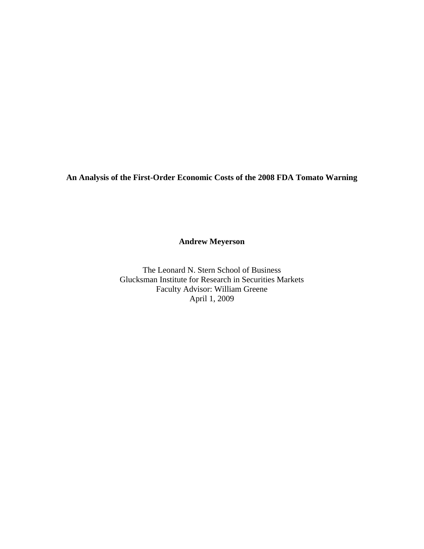**An Analysis of the First-Order Economic Costs of the 2008 FDA Tomato Warning** 

**Andrew Meyerson** 

The Leonard N. Stern School of Business Glucksman Institute for Research in Securities Markets Faculty Advisor: William Greene April 1, 2009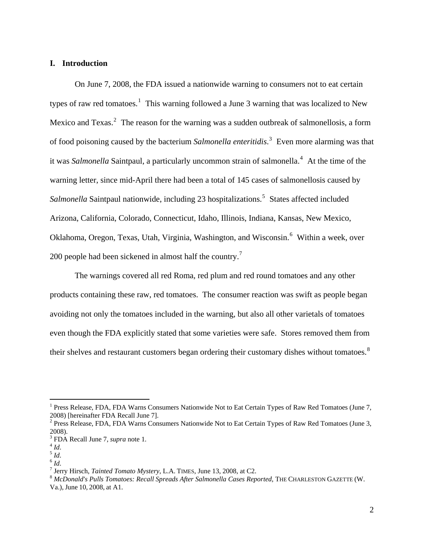# **I. Introduction**

 On June 7, 2008, the FDA issued a nationwide warning to consumers not to eat certain types of raw red tomatoes.<sup>[1](#page-1-0)</sup> This warning followed a June 3 warning that was localized to New Mexico and Texas.<sup>[2](#page-1-1)</sup> The reason for the warning was a sudden outbreak of salmonellosis, a form of food poisoning caused by the bacterium *Salmonella enteritidis*. [3](#page-1-2) Even more alarming was that it was *Salmonella* Saintpaul, a particularly uncommon strain of salmonella.<sup>[4](#page-1-3)</sup> At the time of the warning letter, since mid-April there had been a total of 145 cases of salmonellosis caused by Salmonella Saintpaul nationwide, including 23 hospitalizations.<sup>[5](#page-1-4)</sup> States affected included Arizona, California, Colorado, Connecticut, Idaho, Illinois, Indiana, Kansas, New Mexico, Oklahoma, Oregon, Texas, Utah, Virginia, Washington, and Wisconsin.<sup>[6](#page-1-5)</sup> Within a week, over 200 people had been sickened in almost half the country.<sup>[7](#page-1-6)</sup>

The warnings covered all red Roma, red plum and red round tomatoes and any other products containing these raw, red tomatoes. The consumer reaction was swift as people began avoiding not only the tomatoes included in the warning, but also all other varietals of tomatoes even though the FDA explicitly stated that some varieties were safe. Stores removed them from their shelves and restaurant customers began ordering their customary dishes without tomatoes.<sup>[8](#page-1-7)</sup>

<span id="page-1-0"></span><sup>&</sup>lt;sup>1</sup> Press Release, FDA, FDA Warns Consumers Nationwide Not to Eat Certain Types of Raw Red Tomatoes (June 7, 2008) [hereinafter FDA Recall June 7].

<span id="page-1-1"></span> $2^2$  Press Release, FDA, FDA Warns Consumers Nationwide Not to Eat Certain Types of Raw Red Tomatoes (June 3, 2008).

<span id="page-1-2"></span><sup>&</sup>lt;sup>3</sup> FDA Recall June 7, *supra* note 1.<br>
<sup>4</sup> *Id.*<br>
<sup>6</sup> *Id.*  $H$ .<br>
<sup>7</sup> Jerry Hirsch, *Tainted Terrate Mys* 

<span id="page-1-3"></span>

<span id="page-1-5"></span><span id="page-1-4"></span>

<span id="page-1-7"></span><span id="page-1-6"></span><sup>&</sup>lt;sup>7</sup> Jerry Hirsch, *Tainted Tomato Mystery*, L.A. TIMES, June 13, 2008, at C2.<br><sup>8</sup> *McDonald's Pulls Tomatoes: Recall Spreads After Salmonella Cases Reported*, THE CHARLESTON GAZETTE (W. Va.), June 10, 2008, at A1.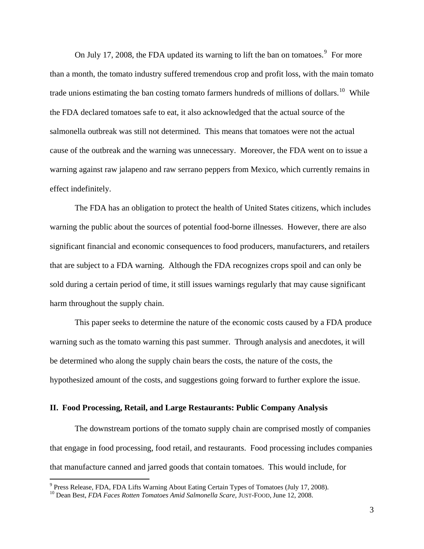On July 17, 2008, the FDA updated its warning to lift the ban on tomatoes. $9$  For more than a month, the tomato industry suffered tremendous crop and profit loss, with the main tomato trade unions estimating the ban costing tomato farmers hundreds of millions of dollars.<sup>[10](#page-2-1)</sup> While the FDA declared tomatoes safe to eat, it also acknowledged that the actual source of the salmonella outbreak was still not determined. This means that tomatoes were not the actual cause of the outbreak and the warning was unnecessary. Moreover, the FDA went on to issue a warning against raw jalapeno and raw serrano peppers from Mexico, which currently remains in effect indefinitely.

The FDA has an obligation to protect the health of United States citizens, which includes warning the public about the sources of potential food-borne illnesses. However, there are also significant financial and economic consequences to food producers, manufacturers, and retailers that are subject to a FDA warning. Although the FDA recognizes crops spoil and can only be sold during a certain period of time, it still issues warnings regularly that may cause significant harm throughout the supply chain.

This paper seeks to determine the nature of the economic costs caused by a FDA produce warning such as the tomato warning this past summer. Through analysis and anecdotes, it will be determined who along the supply chain bears the costs, the nature of the costs, the hypothesized amount of the costs, and suggestions going forward to further explore the issue.

### **II. Food Processing, Retail, and Large Restaurants: Public Company Analysis**

 The downstream portions of the tomato supply chain are comprised mostly of companies that engage in food processing, food retail, and restaurants. Food processing includes companies that manufacture canned and jarred goods that contain tomatoes. This would include, for

<sup>&</sup>lt;sup>9</sup> Press Release, FDA, FDA Lifts Warning About Eating Certain Types of Tomatoes (July 17, 2008).

<span id="page-2-1"></span><span id="page-2-0"></span><sup>10</sup> Dean Best, *FDA Faces Rotten Tomatoes Amid Salmonella Scare*, JUST-FOOD, June 12, 2008.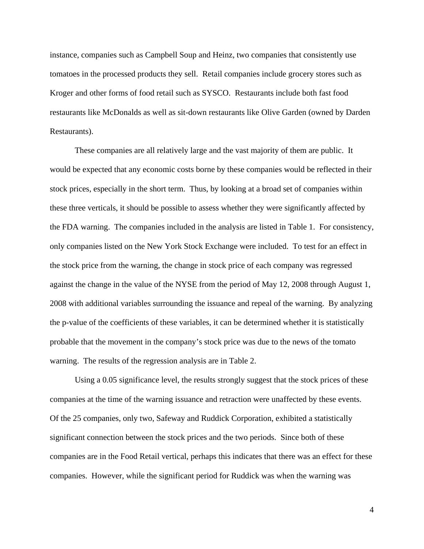instance, companies such as Campbell Soup and Heinz, two companies that consistently use tomatoes in the processed products they sell. Retail companies include grocery stores such as Kroger and other forms of food retail such as SYSCO. Restaurants include both fast food restaurants like McDonalds as well as sit-down restaurants like Olive Garden (owned by Darden Restaurants).

 These companies are all relatively large and the vast majority of them are public. It would be expected that any economic costs borne by these companies would be reflected in their stock prices, especially in the short term. Thus, by looking at a broad set of companies within these three verticals, it should be possible to assess whether they were significantly affected by the FDA warning. The companies included in the analysis are listed in Table 1. For consistency, only companies listed on the New York Stock Exchange were included. To test for an effect in the stock price from the warning, the change in stock price of each company was regressed against the change in the value of the NYSE from the period of May 12, 2008 through August 1, 2008 with additional variables surrounding the issuance and repeal of the warning. By analyzing the p-value of the coefficients of these variables, it can be determined whether it is statistically probable that the movement in the company's stock price was due to the news of the tomato warning. The results of the regression analysis are in Table 2.

 Using a 0.05 significance level, the results strongly suggest that the stock prices of these companies at the time of the warning issuance and retraction were unaffected by these events. Of the 25 companies, only two, Safeway and Ruddick Corporation, exhibited a statistically significant connection between the stock prices and the two periods. Since both of these companies are in the Food Retail vertical, perhaps this indicates that there was an effect for these companies. However, while the significant period for Ruddick was when the warning was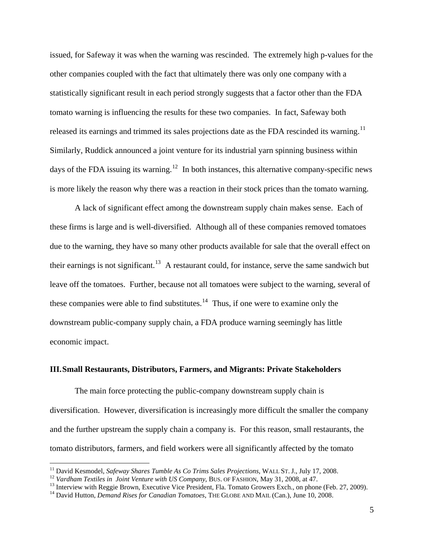<span id="page-4-0"></span>issued, for Safeway it was when the warning was rescinded. The extremely high p-values for the other companies coupled with the fact that ultimately there was only one company with a statistically significant result in each period strongly suggests that a factor other than the FDA tomato warning is influencing the results for these two companies. In fact, Safeway both released its earnings and trimmed its sales projections date as the FDA rescinded its warning.<sup>[11](#page-4-0)</sup> Similarly, Ruddick announced a joint venture for its industrial yarn spinning business within days of the FDA issuing its warning.<sup>[12](#page-4-0)</sup> In both instances, this alternative company-specific news is more likely the reason why there was a reaction in their stock prices than the tomato warning.

 A lack of significant effect among the downstream supply chain makes sense. Each of these firms is large and is well-diversified. Although all of these companies removed tomatoes due to the warning, they have so many other products available for sale that the overall effect on their earnings is not significant.<sup>[13](#page-4-0)</sup> A restaurant could, for instance, serve the same sandwich but leave off the tomatoes. Further, because not all tomatoes were subject to the warning, several of these companies were able to find substitutes.<sup>[14](#page-4-0)</sup> Thus, if one were to examine only the downstream public-company supply chain, a FDA produce warning seemingly has little economic impact.

#### **III.Small Restaurants, Distributors, Farmers, and Migrants: Private Stakeholders**

The main force protecting the public-company downstream supply chain is diversification. However, diversification is increasingly more difficult the smaller the company and the further upstream the supply chain a company is. For this reason, small restaurants, the tomato distributors, farmers, and field workers were all significantly affected by the tomato

<sup>&</sup>lt;sup>11</sup> David Kesmodel, Safeway Shares Tumble As Co Trims Sales Projections, WALL ST. J., July 17, 2008.

<sup>&</sup>lt;sup>12</sup> Vardham Textiles in Joint Venture with US Company, BUS. OF FASHION, May 31, 2008, at 47.<br><sup>13</sup> Interview with Reggie Brown, Executive Vice President, Fla. Tomato Growers Exch., on phone (Feb. 27, 2009).

<sup>14</sup> David Hutton, *Demand Rises for Canadian Tomatoes*, THE GLOBE AND MAIL (Can.), June 10, 2008.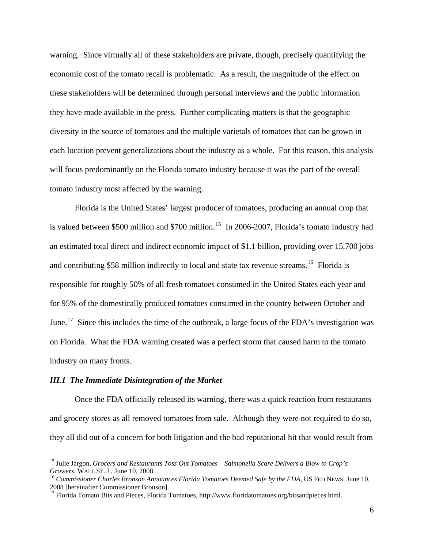<span id="page-5-0"></span>warning. Since virtually all of these stakeholders are private, though, precisely quantifying the economic cost of the tomato recall is problematic. As a result, the magnitude of the effect on these stakeholders will be determined through personal interviews and the public information they have made available in the press. Further complicating matters is that the geographic diversity in the source of tomatoes and the multiple varietals of tomatoes that can be grown in each location prevent generalizations about the industry as a whole. For this reason, this analysis will focus predominantly on the Florida tomato industry because it was the part of the overall tomato industry most affected by the warning.

Florida is the United States' largest producer of tomatoes, producing an annual crop that is valued between \$500 million and \$700 million.<sup>[15](#page-5-0)</sup> In 2006-2007, Florida's tomato industry had an estimated total direct and indirect economic impact of \$1.1 billion, providing over 15,700 jobs and contributing \$58 million indirectly to local and state tax revenue streams.<sup>[16](#page-5-0)</sup> Florida is responsible for roughly 50% of all fresh tomatoes consumed in the United States each year and for 95% of the domestically produced tomatoes consumed in the country between October and June.<sup>[17](#page-5-0)</sup> Since this includes the time of the outbreak, a large focus of the FDA's investigation was on Florida. What the FDA warning created was a perfect storm that caused harm to the tomato industry on many fronts.

#### *III.1 The Immediate Disintegration of the Market*

 Once the FDA officially released its warning, there was a quick reaction from restaurants and grocery stores as all removed tomatoes from sale. Although they were not required to do so, they all did out of a concern for both litigation and the bad reputational hit that would result from

<sup>15</sup> Julie Jargon, *Grocers and Restaurants Toss Out Tomatoes – Salmonella Scare Delivers a Blow to Crop's Growers*, WALL ST. J., June 10, 2008.<br><sup>16</sup> Commissioner Charles Bronson Announces Florida Tomatoes Deemed Safe by the FDA, US FED NEWS, June 10,

<sup>2008 [</sup>hereinafter Commissioner Bronson].

<sup>&</sup>lt;sup>17</sup> Florida Tomato Bits and Pieces, Florida Tomatoes, http://www.floridatomatoes.org/bitsandpieces.html.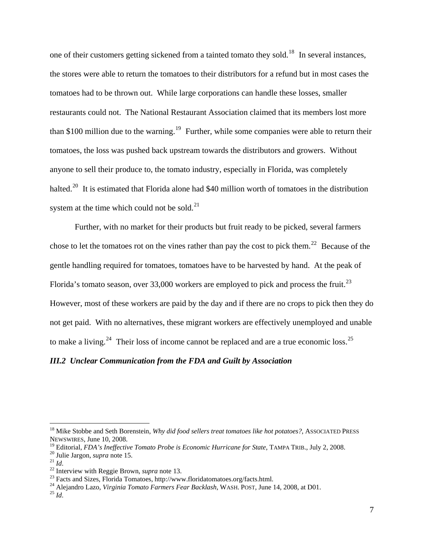<span id="page-6-0"></span>one of their customers getting sickened from a tainted tomato they sold.<sup>[18](#page-6-0)</sup> In several instances, the stores were able to return the tomatoes to their distributors for a refund but in most cases the tomatoes had to be thrown out. While large corporations can handle these losses, smaller restaurants could not. The National Restaurant Association claimed that its members lost more than \$100 million due to the warning.<sup>[19](#page-6-0)</sup> Further, while some companies were able to return their tomatoes, the loss was pushed back upstream towards the distributors and growers. Without anyone to sell their produce to, the tomato industry, especially in Florida, was completely halted.<sup>[20](#page-6-0)</sup> It is estimated that Florida alone had \$40 million worth of tomatoes in the distribution system at the time which could not be sold. $^{21}$  $^{21}$  $^{21}$ 

 Further, with no market for their products but fruit ready to be picked, several farmers chose to let the tomatoes rot on the vines rather than pay the cost to pick them.<sup>[22](#page-6-0)</sup> Because of the gentle handling required for tomatoes, tomatoes have to be harvested by hand. At the peak of Florida's tomato season, over 33,000 workers are employed to pick and process the fruit.<sup>[23](#page-6-0)</sup> However, most of these workers are paid by the day and if there are no crops to pick then they do not get paid. With no alternatives, these migrant workers are effectively unemployed and unable to make a living.<sup>[24](#page-6-0)</sup> Their loss of income cannot be replaced and are a true economic loss.<sup>[25](#page-6-0)</sup>

#### *III.2 Unclear Communication from the FDA and Guilt by Association*

<sup>&</sup>lt;sup>18</sup> Mike Stobbe and Seth Borenstein, *Why did food sellers treat tomatoes like hot potatoes?*, ASSOCIATED PRESS NEWSWIRES, June 10, 2008.<br><sup>19</sup> Editorial, *FDA's Ineffective Tomato Probe is Economic Hurricane for State*, TAMPA TRIB., July 2, 2008.

<sup>&</sup>lt;sup>20</sup> Julie Jargon, *supra* note 15.<br>
<sup>21</sup> *Id.*<br>
<sup>22</sup> Interview with Reggie Brown, *supra* note 13.<br>
<sup>23</sup> Facts and Sizes, Florida Tomatoes, http://www.floridatomatoes.org/facts.html.<br>
<sup>24</sup> Alejandro Lazo, *Virginia Tomat*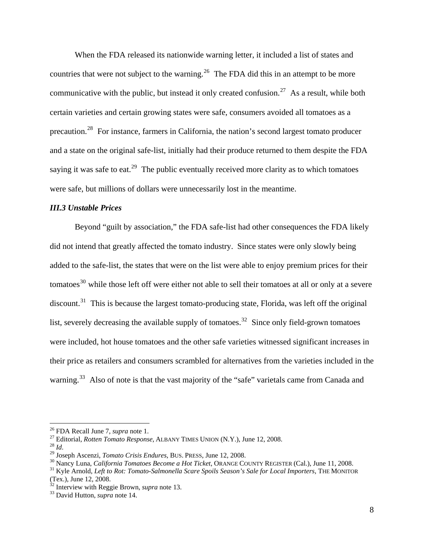<span id="page-7-0"></span> When the FDA released its nationwide warning letter, it included a list of states and countries that were not subject to the warning.<sup>[26](#page-7-0)</sup> The FDA did this in an attempt to be more communicative with the public, but instead it only created confusion.<sup>[27](#page-7-0)</sup> As a result, while both certain varieties and certain growing states were safe, consumers avoided all tomatoes as a precaution.[28](#page-7-0) For instance, farmers in California, the nation's second largest tomato producer and a state on the original safe-list, initially had their produce returned to them despite the FDA saying it was safe to eat.<sup>[29](#page-7-0)</sup> The public eventually received more clarity as to which tomatoes were safe, but millions of dollars were unnecessarily lost in the meantime.

### *III.3 Unstable Prices*

 Beyond "guilt by association," the FDA safe-list had other consequences the FDA likely did not intend that greatly affected the tomato industry. Since states were only slowly being added to the safe-list, the states that were on the list were able to enjoy premium prices for their tomatoes<sup>[30](#page-7-0)</sup> while those left off were either not able to sell their tomatoes at all or only at a severe discount.<sup>[31](#page-7-0)</sup> This is because the largest tomato-producing state, Florida, was left off the original list, severely decreasing the available supply of tomatoes.<sup>[32](#page-7-0)</sup> Since only field-grown tomatoes were included, hot house tomatoes and the other safe varieties witnessed significant increases in their price as retailers and consumers scrambled for alternatives from the varieties included in the warning.<sup>[33](#page-7-0)</sup> Also of note is that the vast majority of the "safe" varietals came from Canada and

<sup>&</sup>lt;sup>26</sup> FDA Recall June 7, *supra* note 1.<br><sup>27</sup> Editorial, *Rotten Tomato Response*, ALBANY TIMES UNION (N.Y.), June 12, 2008.<br><sup>28</sup> Id.<br><sup>29</sup> Joseph Ascenzi, *Tomato Crisis Endures*, BUS. PRESS, June 12, 2008.<br><sup>30</sup> Nancy Luna

<sup>(</sup>Tex.), June 12, 2008.

<sup>32</sup> Interview with Reggie Brown, *supra* note 13. 33 David Hutton, *supra* note 14.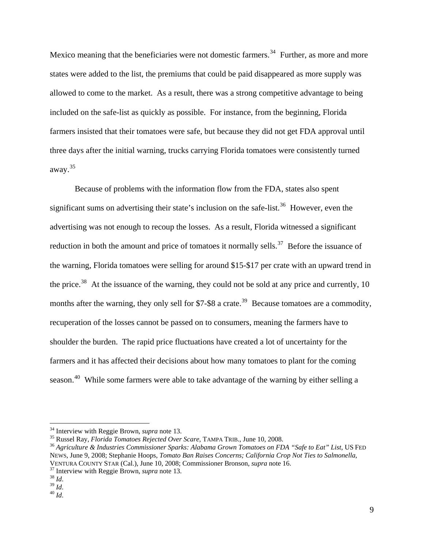<span id="page-8-0"></span>Mexico meaning that the beneficiaries were not domestic farmers.<sup>[34](#page-8-0)</sup> Further, as more and more states were added to the list, the premiums that could be paid disappeared as more supply was allowed to come to the market. As a result, there was a strong competitive advantage to being included on the safe-list as quickly as possible. For instance, from the beginning, Florida farmers insisted that their tomatoes were safe, but because they did not get FDA approval until three days after the initial warning, trucks carrying Florida tomatoes were consistently turned away.[35](#page-8-0)

Because of problems with the information flow from the FDA, states also spent significant sums on advertising their state's inclusion on the safe-list.<sup>[36](#page-8-0)</sup> However, even the advertising was not enough to recoup the losses. As a result, Florida witnessed a significant reduction in both the amount and price of tomatoes it normally sells.<sup>[37](#page-8-0)</sup> Before the issuance of the warning, Florida tomatoes were selling for around \$15-\$17 per crate with an upward trend in the price.<sup>[38](#page-8-0)</sup> At the issuance of the warning, they could not be sold at any price and currently, 10 months after the warning, they only sell for \$7-\$8 a crate.<sup>[39](#page-8-0)</sup> Because tomatoes are a commodity, recuperation of the losses cannot be passed on to consumers, meaning the farmers have to shoulder the burden. The rapid price fluctuations have created a lot of uncertainty for the farmers and it has affected their decisions about how many tomatoes to plant for the coming season.<sup>[40](#page-8-0)</sup> While some farmers were able to take advantage of the warning by either selling a

<sup>&</sup>lt;sup>34</sup> Interview with Reggie Brown, *supra* note 13.

 $^{35}$  Russel Ray, Florida Tomatoes Rejected Over Scare, TAMPA TRIB., June 10, 2008.<br><sup>36</sup> Agriculture & Industries Commissioner Sparks: Alabama Grown Tomatoes on FDA "Safe to Eat" List, US FED NEWS, June 9, 2008; Stephanie Hoops, *Tomato Ban Raises Concerns; California Crop Not Ties to Salmonella*, VENTURA COUNTY STAR (Cal.), June 10, 2008; Commissioner Bronson, *supra* note 16.<br><sup>37</sup> Interview with Reggie Brown, *supra* note 13.<br><sup>38</sup> *Id*. <sup>39</sup> *Id*. <sup>40</sup> *Id*.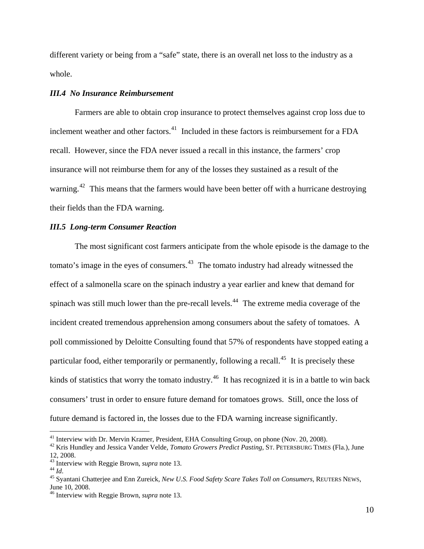<span id="page-9-0"></span>different variety or being from a "safe" state, there is an overall net loss to the industry as a whole.

# *III.4 No Insurance Reimbursement*

 Farmers are able to obtain crop insurance to protect themselves against crop loss due to inclement weather and other factors.<sup>[41](#page-9-0)</sup> Included in these factors is reimbursement for a FDA recall. However, since the FDA never issued a recall in this instance, the farmers' crop insurance will not reimburse them for any of the losses they sustained as a result of the warning.<sup>[42](#page-9-0)</sup> This means that the farmers would have been better off with a hurricane destroying their fields than the FDA warning.

### *III.5 Long-term Consumer Reaction*

 The most significant cost farmers anticipate from the whole episode is the damage to the tomato's image in the eyes of consumers. $43$  The tomato industry had already witnessed the effect of a salmonella scare on the spinach industry a year earlier and knew that demand for spinach was still much lower than the pre-recall levels.<sup>[44](#page-9-0)</sup> The extreme media coverage of the incident created tremendous apprehension among consumers about the safety of tomatoes. A poll commissioned by Deloitte Consulting found that 57% of respondents have stopped eatin g a particular food, either temporarily or permanently, following a recall.<sup>[45](#page-9-0)</sup> It is precisely these kinds of statistics that worry the tomato industry.<sup>[46](#page-9-0)</sup> It has recognized it is in a battle to win back consumers' trust in order to ensure future demand for tomatoes grows. Still, once the loss of future demand is factored in, the losses due to the FDA warning increase significantly.

<sup>&</sup>lt;sup>41</sup> Interview with Dr. Mervin Kramer, President, EHA Consulting Group, on phone (Nov. 20, 2008).

<sup>42</sup> Kris Hundley and Jessica Vander Velde, *Tomato Growers Predict Pasting*, ST. PETERSBURG TIMES (Fla.), June 12, 2008.<br> $43$  Interview with Reggie Brown, *supra* note 13.

<sup>44</sup> *Id.*<br><sup>44</sup> *Id.* 5 Syantani Chatterjee and Enn Zureick, *New U.S. Food Safety Scare Takes Toll on Consumers*, REUTERS NEWS, June 10, 2008.

<sup>46</sup> Interview with Reggie Brown, *supra* note 13.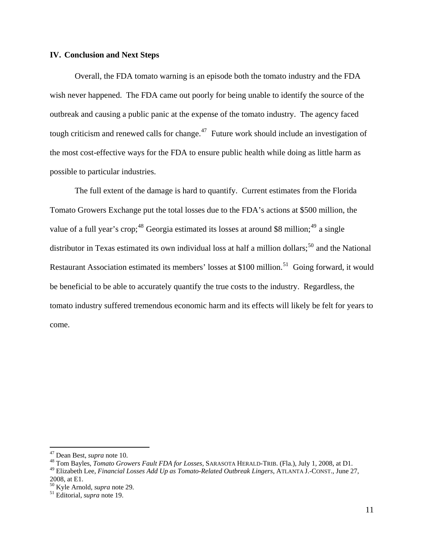### <span id="page-10-0"></span>**IV. Conclusion and Next Steps**

Overall, the FDA tomato warning is an episode both the tomato industry and the FDA wish never happened. The FDA came out poorly for being unable to identify the source of the outbreak and causing a public panic at the expense of the tomato industry. The agency faced tough criticism and renewed calls for change.<sup>[47](#page-10-0)</sup> Future work should include an investigation of the most cost-effective ways for the FDA to ensure public health while doing as little harm as possible to particular industries.

The full extent of the damage is hard to quantify. Current estimates from the Florida Tomato Growers Exchange put the total losses due to the FDA's actions at \$500 million, the value of a full year's crop;<sup>[48](#page-10-0)</sup> Georgia estimated its losses at around \$8 million;<sup>[49](#page-10-0)</sup> a single distributor in Texas estimated its own individual loss at half a million dollars;<sup>[50](#page-10-0)</sup> and the National Restaurant Association estimated its members' losses at \$100 million.<sup>[51](#page-10-0)</sup> Going forward, it would be beneficial to be able to accurately quantify the true costs to the industry. Regardless, the tomato industry suffered tremendous economic harm and its effects will likely be felt for years to come.

<sup>&</sup>lt;sup>47</sup> Dean Best, *supra* note 10.<br><sup>48</sup> Tom Bayles, *Tomato Growers Fault FDA for Losses*, SARASOTA HERALD-TRIB. (Fla.), July 1, 2008, at D1.

<sup>49</sup> Elizabeth Lee, *Financial Losses Add Up as Tomato-Related Outbreak Lingers*, ATLANTA J.-CONST., June 27, 2008, at E1.

<sup>50</sup> Kyle Arnold, *supra* note 29. 51 Editorial, *supra* note 19.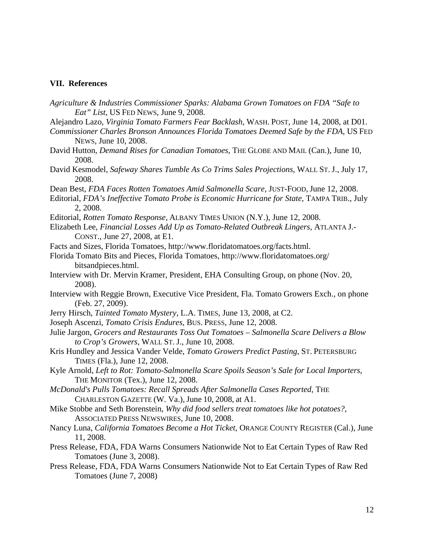#### **VII. References**

- *Agriculture & Industries Commissioner Sparks: Alabama Grown Tomatoes on FDA "Safe to Eat" List*, US FED NEWS, June 9, 2008.
- Alejandro Lazo, *Virginia Tomato Farmers Fear Backlash*, WASH. POST, June 14, 2008, at D01.
- *Commissioner Charles Bronson Announces Florida Tomatoes Deemed Safe by the FDA*, US FED NEWS, June 10, 2008.
- David Hutton, *Demand Rises for Canadian Tomatoes*, THE GLOBE AND MAIL (Can.), June 10, 2008.
- David Kesmodel, *Safeway Shares Tumble As Co Trims Sales Projections*, WALL ST. J., July 17, 2008.
- Dean Best, *FDA Faces Rotten Tomatoes Amid Salmonella Scare*, JUST-FOOD, June 12, 2008.
- Editorial, *FDA's Ineffective Tomato Probe is Economic Hurricane for State*, TAMPA TRIB., July 2, 2008.
- Editorial, *Rotten Tomato Response*, ALBANY TIMES UNION (N.Y.), June 12, 2008.
- Elizabeth Lee, *Financial Losses Add Up as Tomato-Related Outbreak Lingers*, ATLANTA J.- CONST., June 27, 2008, at E1.
- Facts and Sizes, Florida Tomatoes, http://www.floridatomatoes.org/facts.html.
- Florida Tomato Bits and Pieces, Florida Tomatoes, http://www.floridatomatoes.org/ bitsandpieces.html.
- Interview with Dr. Mervin Kramer, President, EHA Consulting Group, on phone (Nov. 20, 2008).
- Interview with Reggie Brown, Executive Vice President, Fla. Tomato Growers Exch., on phone (Feb. 27, 2009).
- Jerry Hirsch, *Tainted Tomato Mystery*, L.A. TIMES, June 13, 2008, at C2.
- Joseph Ascenzi, *Tomato Crisis Endures*, BUS. PRESS, June 12, 2008.
- Julie Jargon, *Grocers and Restaurants Toss Out Tomatoes Salmonella Scare Delivers a Blow to Crop's Growers*, WALL ST. J., June 10, 2008.
- Kris Hundley and Jessica Vander Velde, *Tomato Growers Predict Pasting*, ST. PETERSBURG TIMES (Fla.), June 12, 2008.
- Kyle Arnold, *Left to Rot: Tomato-Salmonella Scare Spoils Season's Sale for Local Importers*, THE MONITOR (Tex.), June 12, 2008.
- *McDonald's Pulls Tomatoes: Recall Spreads After Salmonella Cases Reported*, THE CHARLESTON GAZETTE (W. Va.), June 10, 2008, at A1.
- Mike Stobbe and Seth Borenstein, *Why did food sellers treat tomatoes like hot potatoes?*, ASSOCIATED PRESS NEWSWIRES, June 10, 2008.
- Nancy Luna, *California Tomatoes Become a Hot Ticket*, ORANGE COUNTY REGISTER (Cal.), June 11, 2008.
- Press Release, FDA, FDA Warns Consumers Nationwide Not to Eat Certain Types of Raw Red Tomatoes (June 3, 2008).
- Press Release, FDA, FDA Warns Consumers Nationwide Not to Eat Certain Types of Raw Red Tomatoes (June 7, 2008)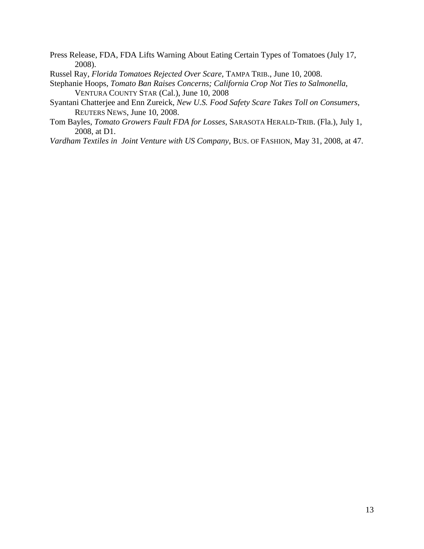- Press Release, FDA, FDA Lifts Warning About Eating Certain Types of Tomatoes (July 17, 2008).
- Russel Ray, *Florida Tomatoes Rejected Over Scare*, TAMPA TRIB., June 10, 2008.
- Stephanie Hoops, *Tomato Ban Raises Concerns; California Crop Not Ties to Salmonella*, VENTURA COUNTY STAR (Cal.), June 10, 2008
- Syantani Chatterjee and Enn Zureick, *New U.S. Food Safety Scare Takes Toll on Consumers*, REUTERS NEWS, June 10, 2008.
- Tom Bayles, *Tomato Growers Fault FDA for Losses*, SARASOTA HERALD-TRIB. (Fla.), July 1, 2008, at D1.
- *Vardham Textiles in Joint Venture with US Company*, BUS. OF FASHION, May 31, 2008, at 47.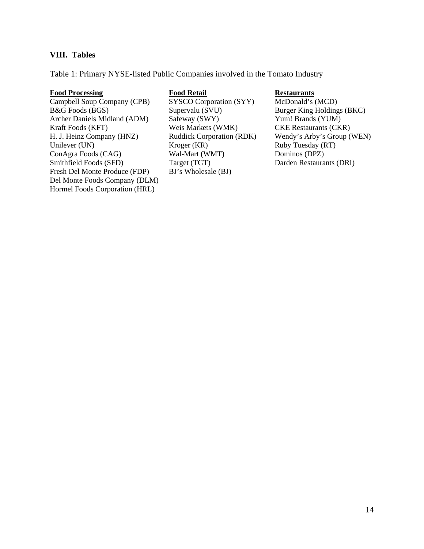# **VIII. Tables**

Table 1: Primary NYSE-listed Public Companies involved in the Tomato Industry

### **Food Processing Food Retail Restaurants**

Campbell Soup Company (CPB) SYSCO Corporation (SYY) McDonald's (MCD) B&G Foods (BGS) Supervalu (SVU) Burger King Holdings (BKC) Archer Daniels Midland (ADM) Safeway (SWY) Yum! Brands (YUM) Kraft Foods (KFT) Weis Markets (WMK) CKE Restaurants (CKR)<br>
H. J. Heinz Company (HNZ) Ruddick Corporation (RDK) Wendy's Arby's Group ( H. J. Heinz Company (HNZ) Ruddick Corporation (RDK) Wendy's Arby's Group (WEN) Unilever (UN) <br>
ConAgra Foods (CAG) <br>
Wal-Mart (WMT) <br>
Wal-Mart (WMT) <br>
Dominos (DPZ) ConAgra Foods (CAG) Wal-Mart (WMT) Smithfield Foods (SFD) Target (TGT) Darden Restaurants (DRI) Fresh Del Monte Produce (FDP) BJ's Wholesale (BJ) Del Monte Foods Company (DLM) Hormel Foods Corporation (HRL)